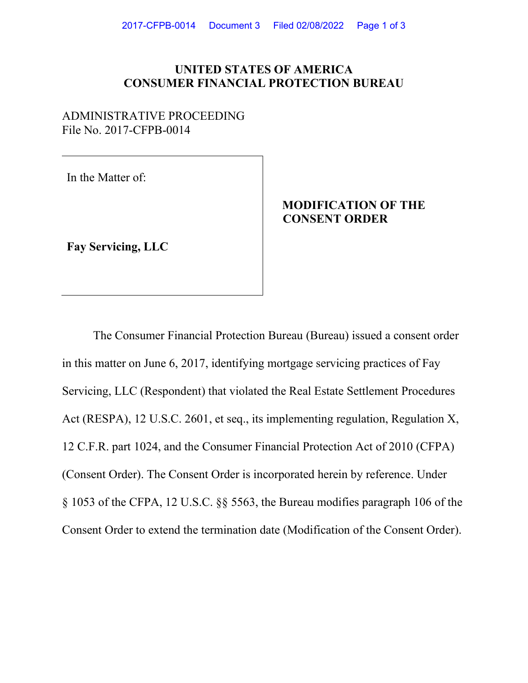### **UNITED STATES OF AMERICA CONSUMER FINANCIAL PROTECTION BUREAU**

#### ADMINISTRATIVE PROCEEDING File No. 2017-CFPB-0014

In the Matter of:

# **MODIFICATION OF THE CONSENT ORDER**

**Fay Servicing, LLC**

The Consumer Financial Protection Bureau (Bureau) issued a consent order in this matter on June 6, 2017, identifying mortgage servicing practices of Fay Servicing, LLC (Respondent) that violated the Real Estate Settlement Procedures Act (RESPA), 12 U.S.C. 2601, et seq., its implementing regulation, Regulation X, 12 C.F.R. part 1024, and the Consumer Financial Protection Act of 2010 (CFPA) (Consent Order). The Consent Order is incorporated herein by reference. Under § 1053 of the CFPA, 12 U.S.C. §§ 5563, the Bureau modifies paragraph 106 of the Consent Order to extend the termination date (Modification of the Consent Order).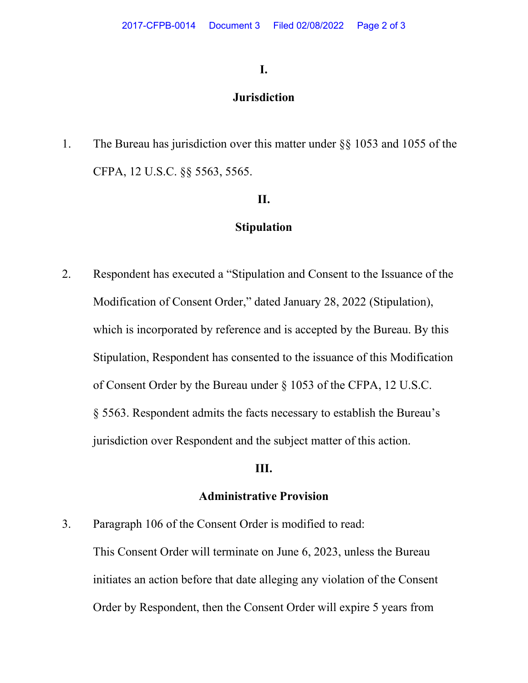### **I.**

# **Jurisdiction**

1. The Bureau has jurisdiction over this matter under §§ 1053 and 1055 of the CFPA, 12 U.S.C. §§ 5563, 5565.

## **II.**

### **Stipulation**

2. Respondent has executed a "Stipulation and Consent to the Issuance of the Modification of Consent Order," dated January 28, 2022 (Stipulation), which is incorporated by reference and is accepted by the Bureau. By this Stipulation, Respondent has consented to the issuance of this Modification of Consent Order by the Bureau under § 1053 of the CFPA, 12 U.S.C. § 5563. Respondent admits the facts necessary to establish the Bureau's jurisdiction over Respondent and the subject matter of this action.

### **III.**

#### **Administrative Provision**

3. Paragraph 106 of the Consent Order is modified to read: This Consent Order will terminate on June 6, 2023, unless the Bureau initiates an action before that date alleging any violation of the Consent Order by Respondent, then the Consent Order will expire 5 years from